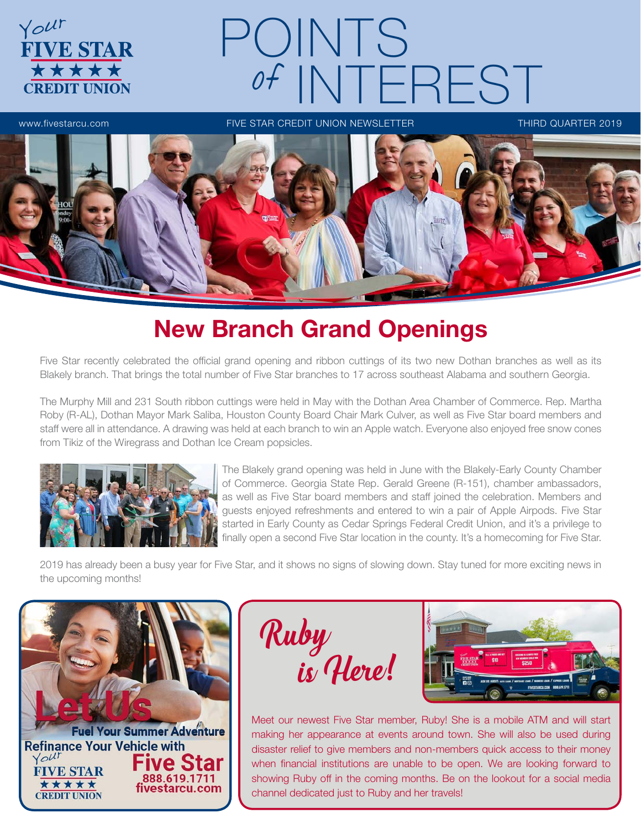

# New Branch Grand Openings

Five Star recently celebrated the official grand opening and ribbon cuttings of its two new Dothan branches as well as its Blakely branch. That brings the total number of Five Star branches to 17 across southeast Alabama and southern Georgia.

The Murphy Mill and 231 South ribbon cuttings were held in May with the Dothan Area Chamber of Commerce. Rep. Martha Roby (R-AL), Dothan Mayor Mark Saliba, Houston County Board Chair Mark Culver, as well as Five Star board members and staff were all in attendance. A drawing was held at each branch to win an Apple watch. Everyone also enjoyed free snow cones from Tikiz of the Wiregrass and Dothan Ice Cream popsicles.



The Blakely grand opening was held in June with the Blakely-Early County Chamber of Commerce. Georgia State Rep. Gerald Greene (R-151), chamber ambassadors, as well as Five Star board members and staff joined the celebration. Members and guests enjoyed refreshments and entered to win a pair of Apple Airpods. Five Star started in Early County as Cedar Springs Federal Credit Union, and it's a privilege to finally open a second Five Star location in the county. It's a homecoming for Five Star.

2019 has already been a busy year for Five Star, and it shows no signs of slowing down. Stay tuned for more exciting news in the upcoming months!

**Fuel Your Summer Adventure Refinance Your Vehicle with** Your Five Star **FIVE STAR** 888.619.1711 \*\*\*\*\* fivestarcu.com **CREDIT UNION** 

Ruby is Here!



Meet our newest Five Star member, Ruby! She is a mobile ATM and will start making her appearance at events around town. She will also be used during disaster relief to give members and non-members quick access to their money when financial institutions are unable to be open. We are looking forward to showing Ruby off in the coming months. Be on the lookout for a social media channel dedicated just to Ruby and her travels!